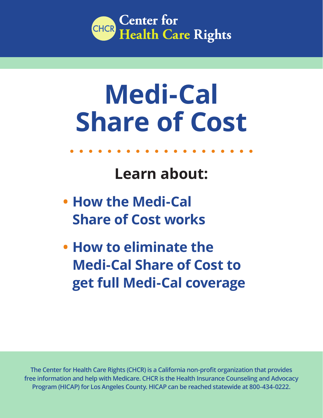

# **Medi-Cal Share of Cost**

## **Learn about:**

- **• How the Medi-Cal Share of Cost works**
- **• How to eliminate the Medi-Cal Share of Cost to get full Medi-Cal coverage**

**The Center for Health Care Rights (CHCR) is a California non-profit organization that provides free information and help with Medicare. CHCR is the Health Insurance Counseling and Advocacy Program (HICAP) for Los Angeles County. HICAP can be reached statewide at 800-434-0222.**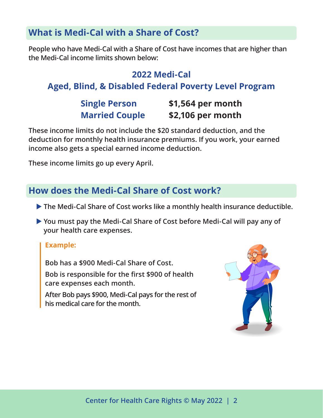### **What is Medi-Cal with a Share of Cost?**

**People who have Medi-Cal with a Share of Cost have incomes that are higher than the Medi-Cal income limits shown below:**

#### **2022 Medi-Cal**

#### **Aged, Blind, & Disabled Federal Poverty Level Program**

### **Single Person \$1,564 per month Married Couple \$2,106 per month**

**These income limits do not include the \$20 standard deduction, and the deduction for monthly health insurance premiums. If you work, your earned income also gets a special earned income deduction.** 

**These income limits go up every April.**

#### **How does the Medi-Cal Share of Cost work?**

- $\blacktriangleright$  The Medi-Cal Share of Cost works like a monthly health insurance deductible.
- ▶ You must pay the Medi-Cal Share of Cost before Medi-Cal will pay any of **your health care expenses.**

#### **Example:**

**Bob has a \$900 Medi-Cal Share of Cost. Bob is responsible for the first \$900 of health care expenses each month.**

**After Bob pays \$900, Medi-Cal pays for the rest of his medical care for the month.** 

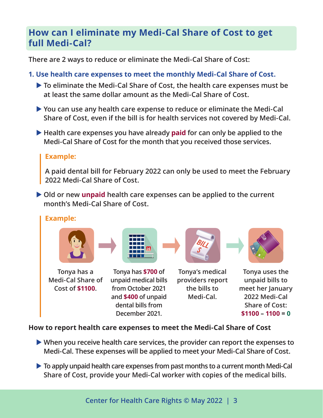#### **How can I eliminate my Medi-Cal Share of Cost to get full Medi-Cal?**

**There are 2 ways to reduce or eliminate the Medi-Cal Share of Cost:**

- **1. Use health care expenses to meet the monthly Medi-Cal Share of Cost.**
	- ▶ To eliminate the Medi-Cal Share of Cost, the health care expenses must be **at least the same dollar amount as the Medi-Cal Share of Cost.**
	- ▶ You can use any health care expense to reduce or eliminate the Medi-Cal **Share of Cost, even if the bill is for health services not covered by Medi-Cal.**
	- X **Health care expenses you have already paid for can only be applied to the Medi-Cal Share of Cost for the month that you received those services.**

#### **Example:**

**A paid dental bill for February 2022 can only be used to meet the February 2022 Medi-Cal Share of Cost.**

 $\triangleright$  Old or new **unpaid** health care expenses can be applied to the current **month's Medi-Cal Share of Cost.**

#### **Example:**





**Tonya has a Medi-Cal Share of Cost of \$1100.**

**Tonya has \$700 of unpaid medical bills from October 2021 and \$400 of unpaid dental bills from December 2021.**

**Tonya's medical providers report the bills to Medi-Cal.** 



**Tonya uses the unpaid bills to meet her January 2022 Medi-Cal Share of Cost: \$1100 – 1100 = 0**

#### **How to report health care expenses to meet the Medi-Cal Share of Cost**

- ▶ When you receive health care services, the provider can report the expenses to **Medi-Cal. These expenses will be applied to meet your Medi-Cal Share of Cost.**
- $\triangleright$  To apply unpaid health care expenses from past months to a current month Medi-Cal **Share of Cost, provide your Medi-Cal worker with copies of the medical bills.**